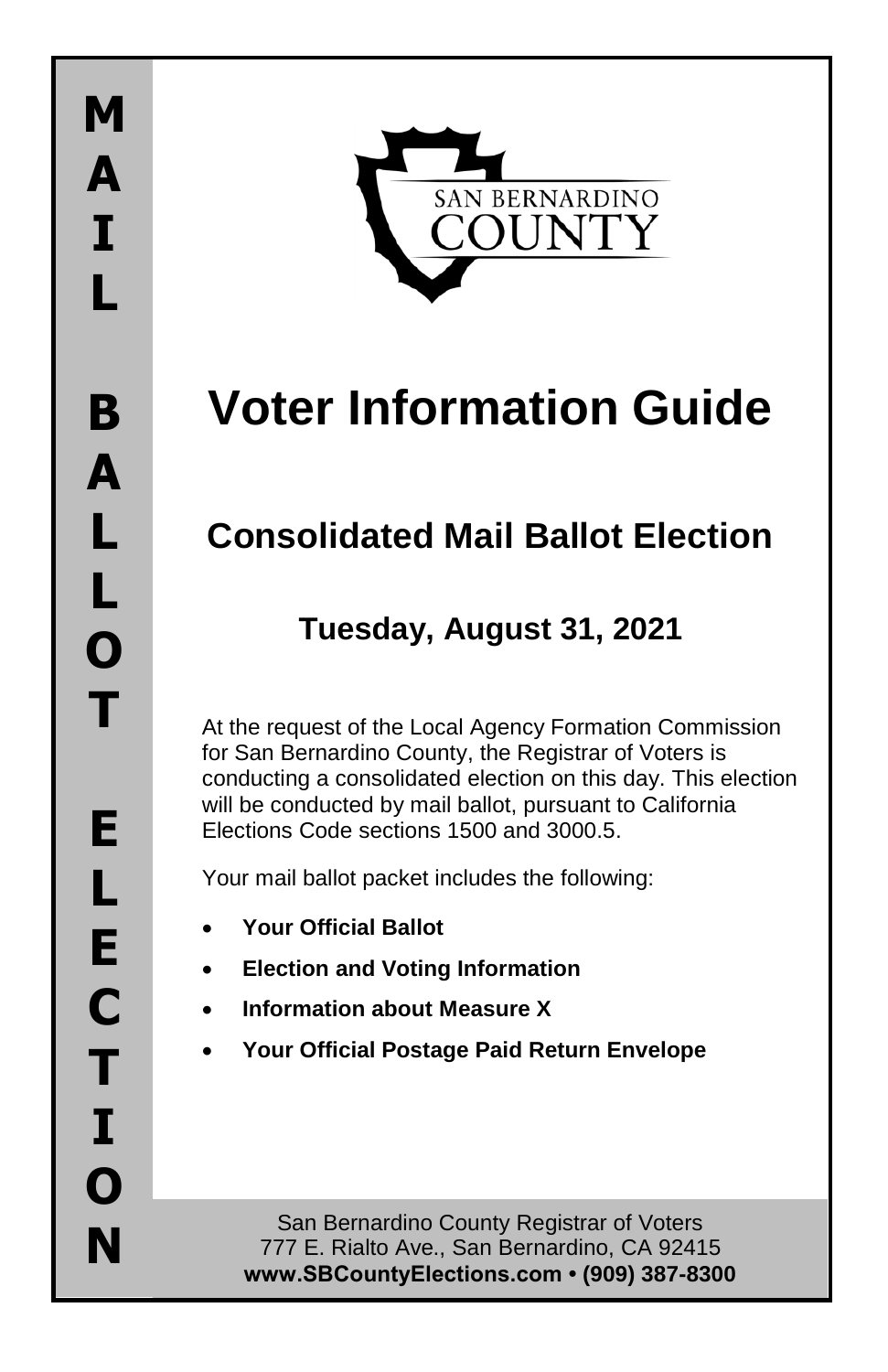

# **Voter Information Guide**

# **Consolidated Mail Ballot Election**

# **Tuesday, August 31, 2021**

At the request of the Local Agency Formation Commission for San Bernardino County, the Registrar of Voters is conducting a consolidated election on this day. This election will be conducted by mail ballot, pursuant to California Elections Code sections 1500 and 3000.5.

Your mail ballot packet includes the following:

- **Your Official Ballot**
- **Election and Voting Information**
- **Information about Measure X**
- **Your Official Postage Paid Return Envelope**

San Bernardino County Registrar of Voters 777 E. Rialto Ave., San Bernardino, CA 92415 **www.SBCountyElections.com • (909) 387-8300**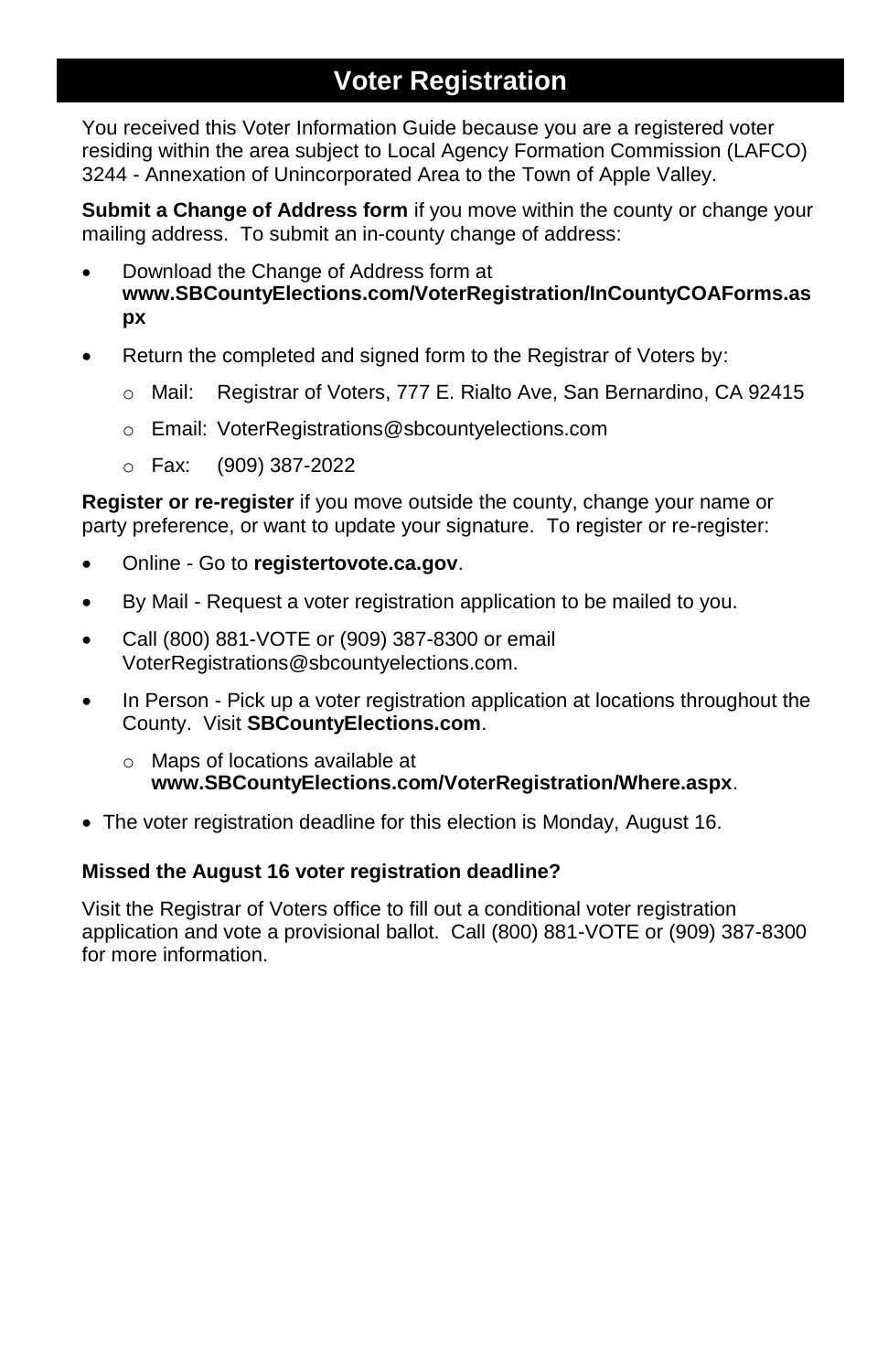## **Voter Registration**

You received this Voter Information Guide because you are a registered voter residing within the area subject to Local Agency Formation Commission (LAFCO) 3244 - Annexation of Unincorporated Area to the Town of Apple Valley.

**Submit a Change of Address form** if you move within the county or change your mailing address. To submit an in-county change of address:

- Download the Change of Address form at **www.SBCountyElections.com/VoterRegistration/InCountyCOAForms.as px**
- Return the completed and signed form to the Registrar of Voters by:
	- o Mail: Registrar of Voters, 777 E. Rialto Ave, San Bernardino, CA 92415
	- o Email: VoterRegistrations@sbcountyelections.com
	- o Fax: (909) 387-2022

**Register or re-register** if you move outside the county, change your name or party preference, or want to update your signature. To register or re-register:

- Online Go to **registertovote.ca.gov**.
- By Mail Request a voter registration application to be mailed to you.
- Call (800) 881-VOTE or (909) 387-8300 or email VoterRegistrations@sbcountyelections.com.
- In Person Pick up a voter registration application at locations throughout the County. Visit **SBCountyElections.com**.
	- o Maps of locations available at **www.SBCountyElections.com/VoterRegistration/Where.aspx**.
- The voter registration deadline for this election is Monday, August 16.

### **Missed the August 16 voter registration deadline?**

Visit the Registrar of Voters office to fill out a conditional voter registration application and vote a provisional ballot. Call (800) 881-VOTE or (909) 387-8300 for more information.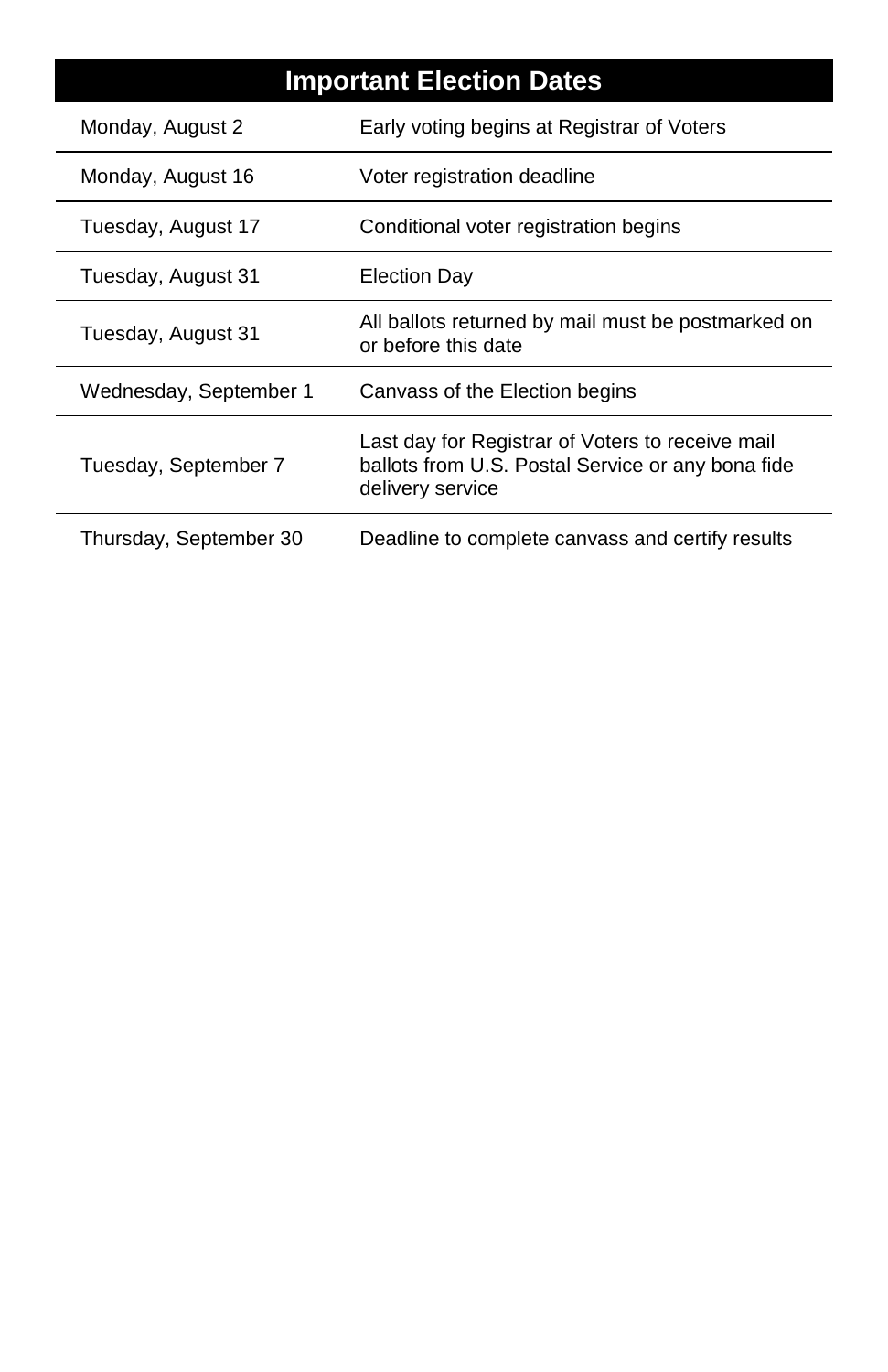| <b>Important Election Dates</b> |                                                                                                                           |
|---------------------------------|---------------------------------------------------------------------------------------------------------------------------|
| Monday, August 2                | Early voting begins at Registrar of Voters                                                                                |
| Monday, August 16               | Voter registration deadline                                                                                               |
| Tuesday, August 17              | Conditional voter registration begins                                                                                     |
| Tuesday, August 31              | Election Day                                                                                                              |
| Tuesday, August 31              | All ballots returned by mail must be postmarked on<br>or before this date                                                 |
| Wednesday, September 1          | Canvass of the Election begins                                                                                            |
| Tuesday, September 7            | Last day for Registrar of Voters to receive mail<br>ballots from U.S. Postal Service or any bona fide<br>delivery service |
| Thursday, September 30          | Deadline to complete canvass and certify results                                                                          |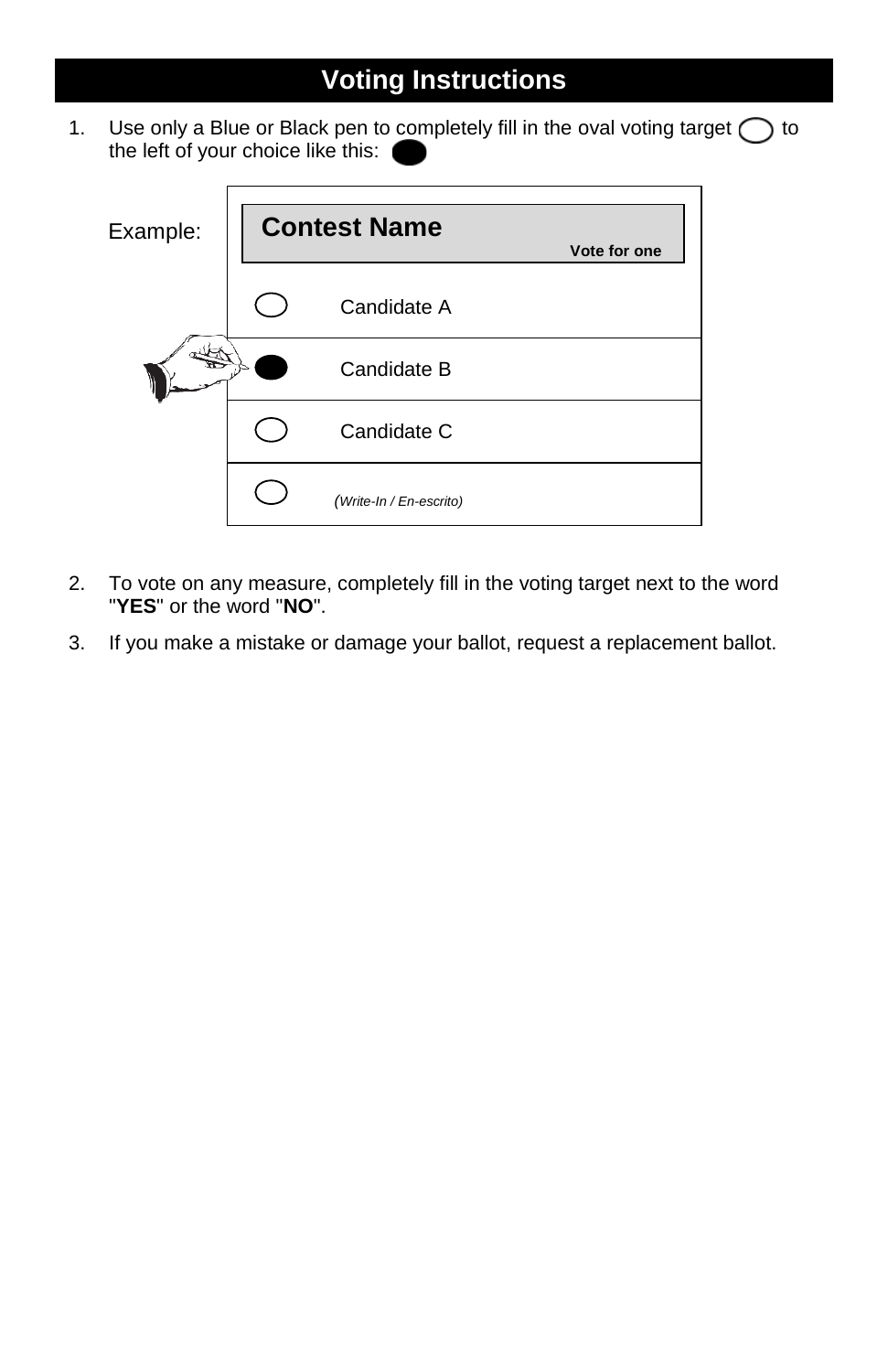# **Voting Instructions**

1. Use only a Blue or Black pen to completely fill in the oval voting target  $\bigcap$  to the left of your choice like this:



- 2. To vote on any measure, completely fill in the voting target next to the word "**YES**" or the word "**NO**".
- 3. If you make a mistake or damage your ballot, request a replacement ballot.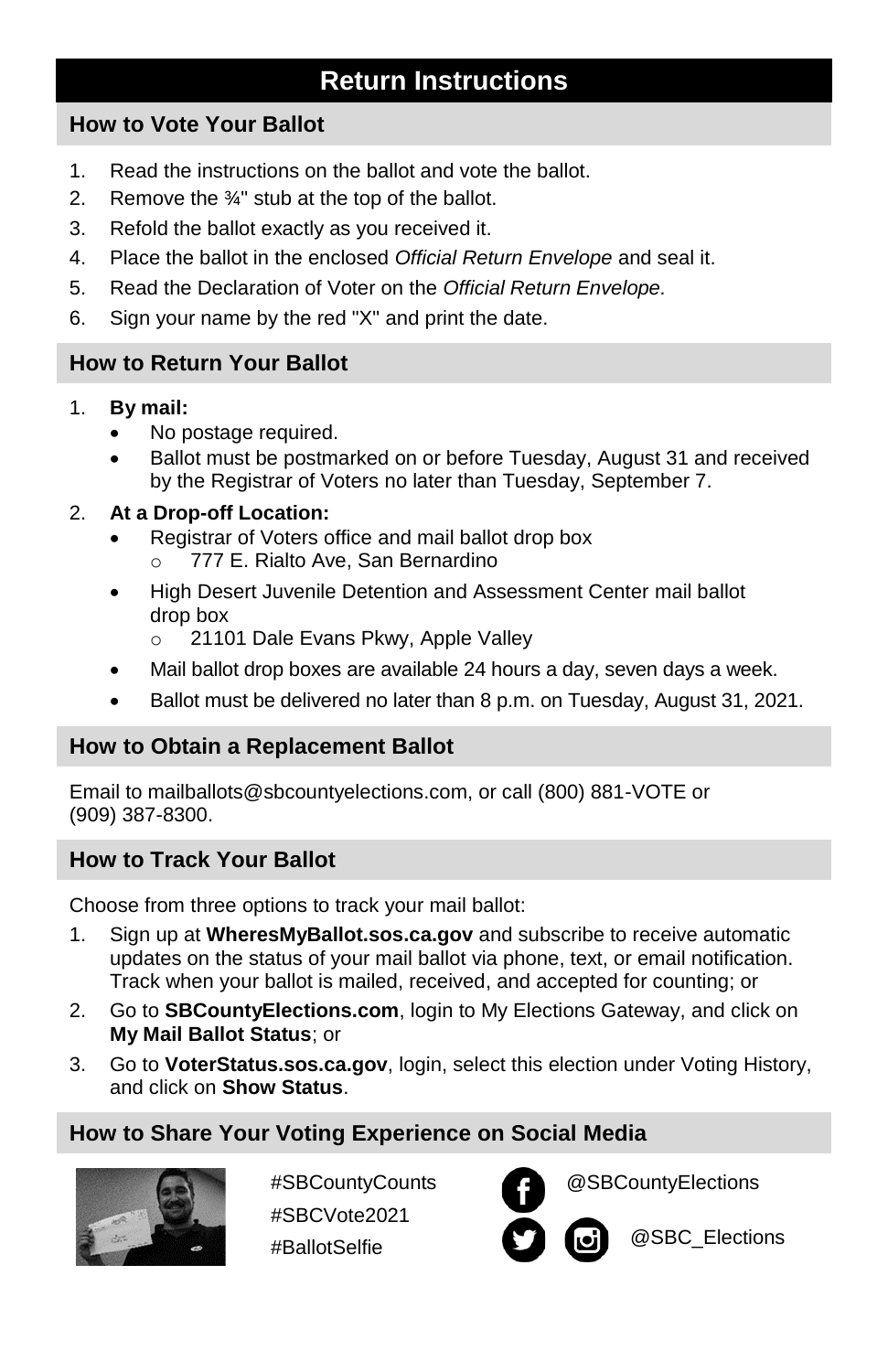### **Return Instructions**

### **How to Vote Your Ballot**

- 1. Read the instructions on the ballot and vote the ballot.
- 2. Remove the  $\frac{3}{4}$ " stub at the top of the ballot.
- 3. Refold the ballot exactly as you received it.
- 4. Place the ballot in the enclosed *Official Return Envelope* and seal it.
- 5. Read the Declaration of Voter on the *Official Return Envelope.*
- 6. Sign your name by the red "X" and print the date.

### **How to Return Your Ballot**

- 1. **By mail:**
	- No postage required.
	- Ballot must be postmarked on or before Tuesday, August 31 and received by the Registrar of Voters no later than Tuesday, September 7.

### 2. **At a Drop-off Location:**

- Registrar of Voters office and mail ballot drop box 777 E. Rialto Ave, San Bernardino
- High Desert Juvenile Detention and Assessment Center mail ballot drop box
	- o 21101 Dale Evans Pkwy, Apple Valley
- Mail ballot drop boxes are available 24 hours a day, seven days a week.
- Ballot must be delivered no later than 8 p.m. on Tuesday, August 31, 2021.

### **How to Obtain a Replacement Ballot**

Email to mailballots@sbcountyelections.com, or call (800) 881-VOTE or (909) 387-8300.

### **How to Track Your Ballot**

Choose from three options to track your mail ballot:

- 1. Sign up at **WheresMyBallot.sos.ca.gov** and subscribe to receive automatic updates on the status of your mail ballot via phone, text, or email notification. Track when your ballot is mailed, received, and accepted for counting; or
- 2. Go to **[SBCountyElections.com](http://www.sbcountyelections.com/)**, login to My Elections Gateway, and click on **My Mail Ballot Status**; or
- 3. Go to **VoterStatus.sos.ca.gov**, login, select this election under Voting History, and click on **Show Status**.

### **How to Share Your Voting Experience on Social Media**



#SBCountyCounts #SBCVote2021 #BallotSelfie



@SBCountyElections

@SBC\_Elections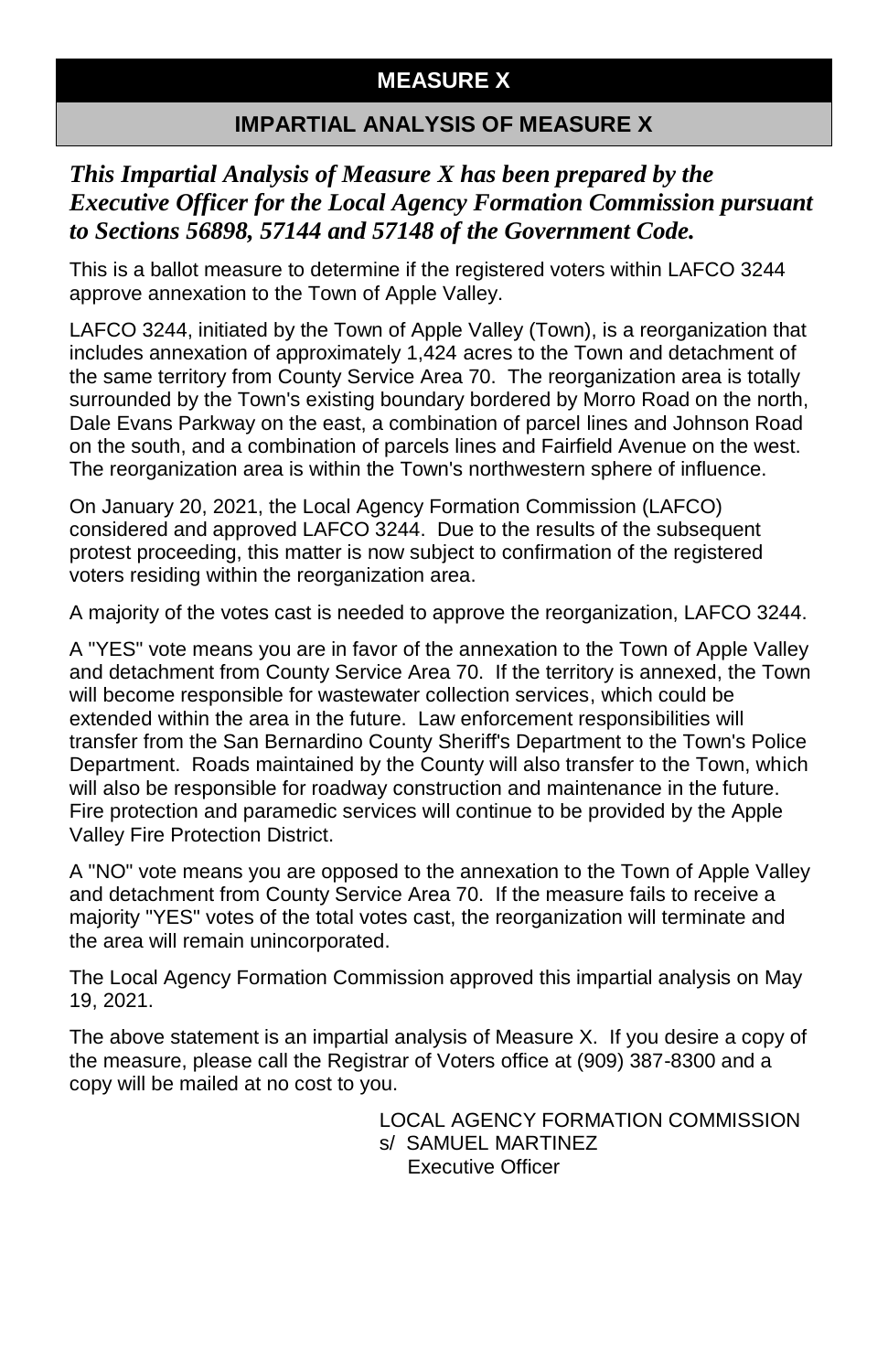### **MEASURE X**

### **IMPARTIAL ANALYSIS OF MEASURE X**

### *This Impartial Analysis of Measure X has been prepared by the Executive Officer for the Local Agency Formation Commission pursuant to Sections 56898, 57144 and 57148 of the Government Code.*

This is a ballot measure to determine if the registered voters within LAFCO 3244 approve annexation to the Town of Apple Valley.

LAFCO 3244, initiated by the Town of Apple Valley (Town), is a reorganization that includes annexation of approximately 1,424 acres to the Town and detachment of the same territory from County Service Area 70. The reorganization area is totally surrounded by the Town's existing boundary bordered by Morro Road on the north, Dale Evans Parkway on the east, a combination of parcel lines and Johnson Road on the south, and a combination of parcels lines and Fairfield Avenue on the west. The reorganization area is within the Town's northwestern sphere of influence.

On January 20, 2021, the Local Agency Formation Commission (LAFCO) considered and approved LAFCO 3244. Due to the results of the subsequent protest proceeding, this matter is now subject to confirmation of the registered voters residing within the reorganization area.

A majority of the votes cast is needed to approve the reorganization, LAFCO 3244.

A "YES" vote means you are in favor of the annexation to the Town of Apple Valley and detachment from County Service Area 70. If the territory is annexed, the Town will become responsible for wastewater collection services, which could be extended within the area in the future. Law enforcement responsibilities will transfer from the San Bernardino County Sheriff's Department to the Town's Police Department. Roads maintained by the County will also transfer to the Town, which will also be responsible for roadway construction and maintenance in the future. Fire protection and paramedic services will continue to be provided by the Apple Valley Fire Protection District.

A "NO" vote means you are opposed to the annexation to the Town of Apple Valley and detachment from County Service Area 70. If the measure fails to receive a majority "YES" votes of the total votes cast, the reorganization will terminate and the area will remain unincorporated.

The Local Agency Formation Commission approved this impartial analysis on May 19, 2021.

The above statement is an impartial analysis of Measure X. If you desire a copy of the measure, please call the Registrar of Voters office at (909) 387-8300 and a copy will be mailed at no cost to you.

> LOCAL AGENCY FORMATION COMMISSION s/ SAMUEL MARTINEZ Executive Officer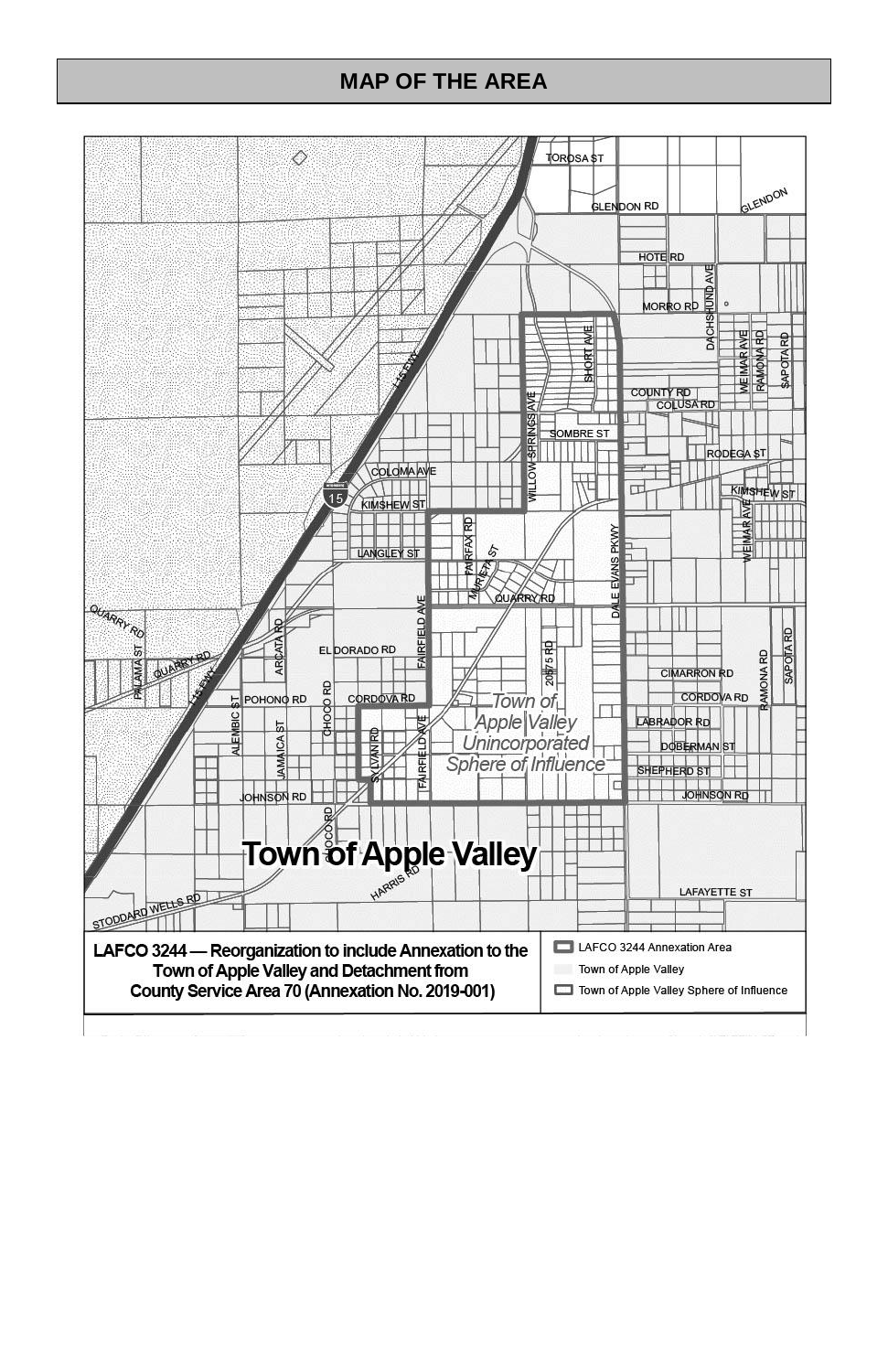### **MAP OF THE AREA**

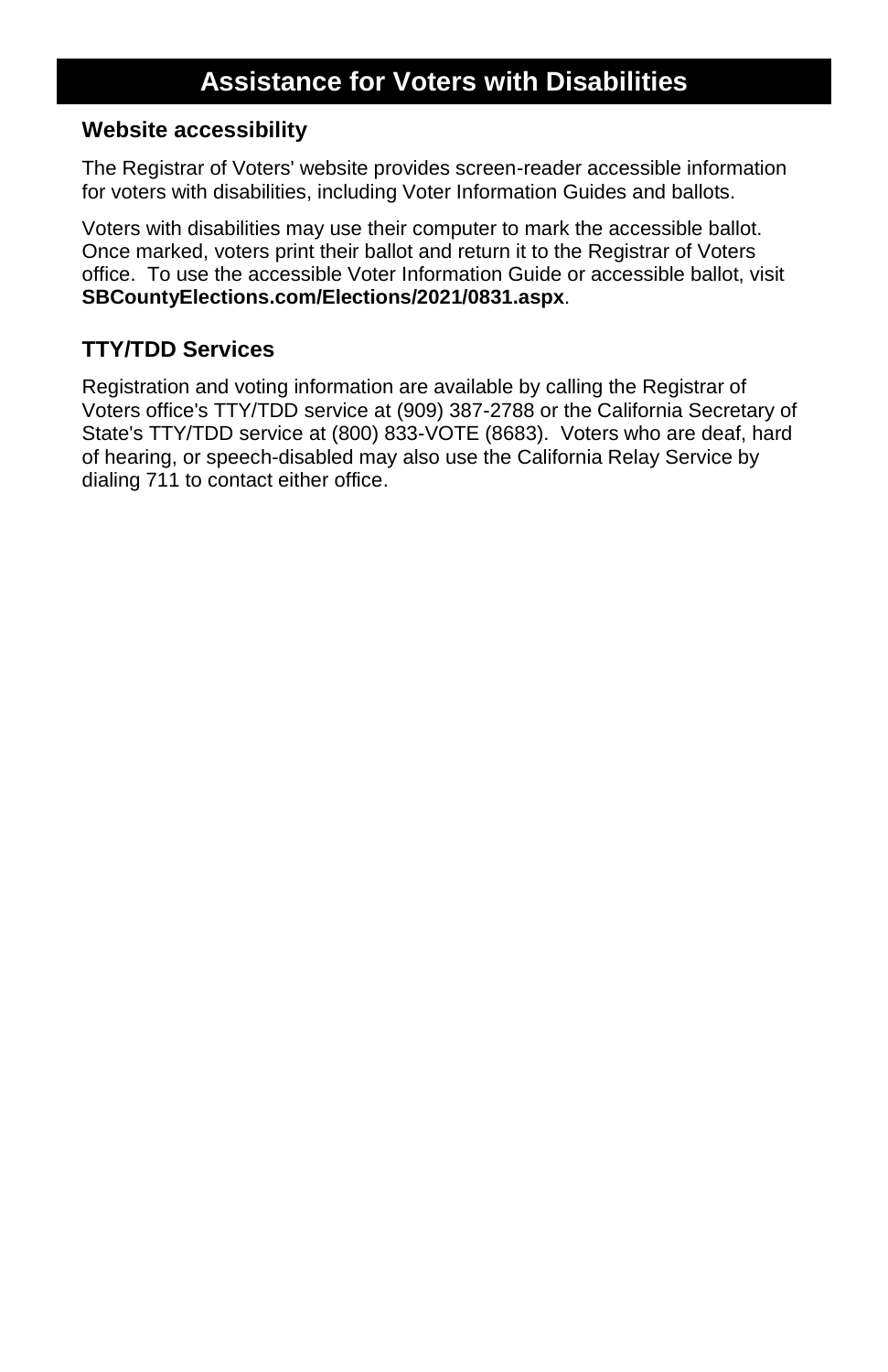#### **Website accessibility**

The Registrar of Voters' website provides screen-reader accessible information for voters with disabilities, including Voter Information Guides and ballots.

Voters with disabilities may use their computer to mark the accessible ballot. Once marked, voters print their ballot and return it to the Registrar of Voters office. To use the accessible Voter Information Guide or accessible ballot, visit **SBCountyElections.com/Elections/2021/0831.aspx**.

### **TTY/TDD Services**

Registration and voting information are available by calling the Registrar of Voters office's TTY/TDD service at (909) 387-2788 or the California Secretary of State's TTY/TDD service at (800) 833-VOTE (8683). Voters who are deaf, hard of hearing, or speech-disabled may also use the California Relay Service by dialing 711 to contact either office.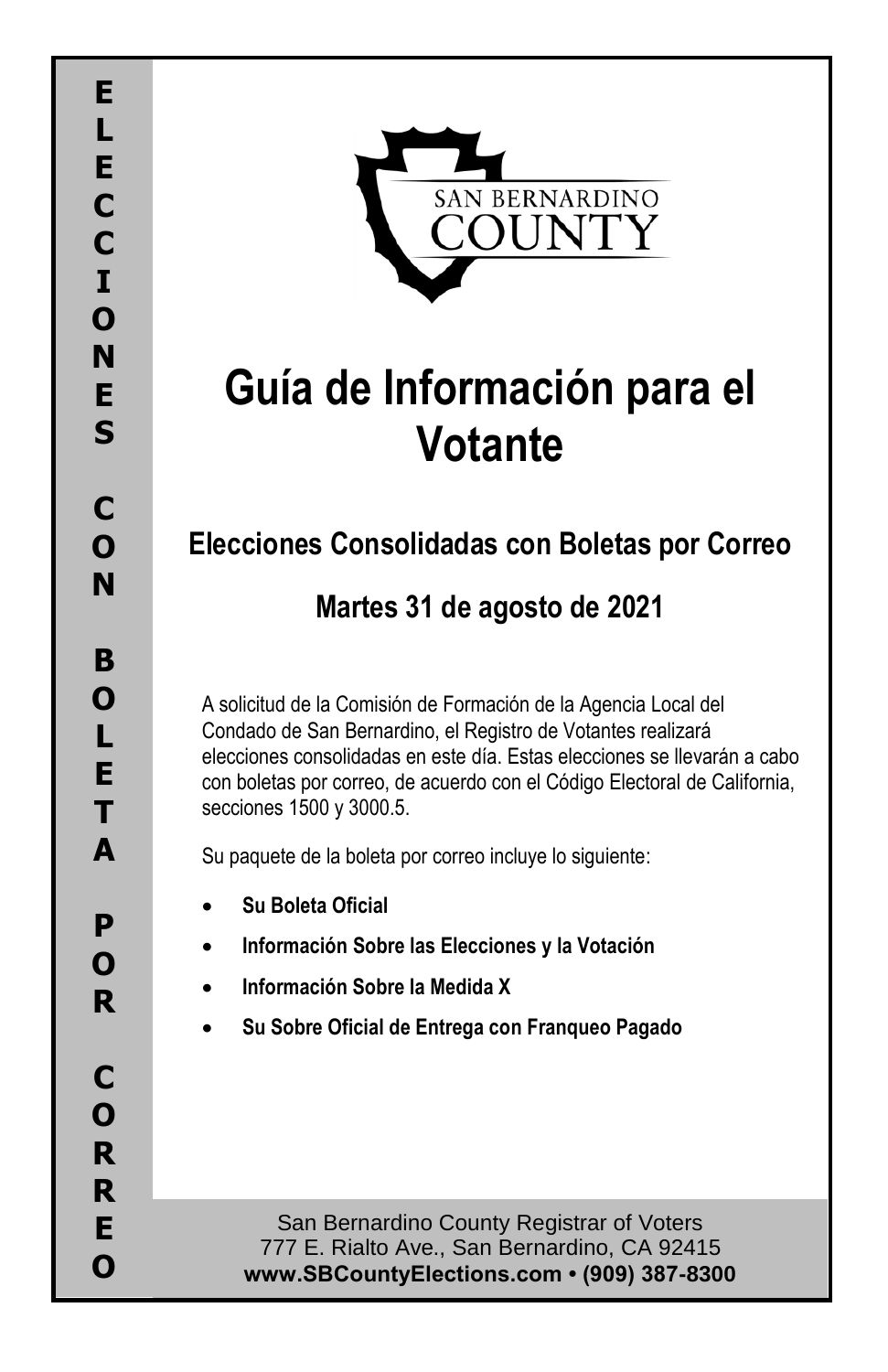

# **Guía de Información para el Votante**

# **Elecciones Consolidadas con Boletas por Correo**

# **Martes 31 de agosto de 2021**

A solicitud de la Comisión de Formación de la Agencia Local del Condado de San Bernardino, el Registro de Votantes realizará elecciones consolidadas en este día. Estas elecciones se llevarán a cabo con boletas por correo, de acuerdo con el Código Electoral de California, secciones 1500 y 3000.5.

Su paquete de la boleta por correo incluye lo siguiente:

- **Su Boleta Oficial**
- **Información Sobre las Elecciones y la Votación**
- **Información Sobre la Medida X**
- **Su Sobre Oficial de Entrega con Franqueo Pagado**

San Bernardino County Registrar of Voters 777 E. Rialto Ave., San Bernardino, CA 92415 **www.SBCountyElections.com • (909) 387-8300**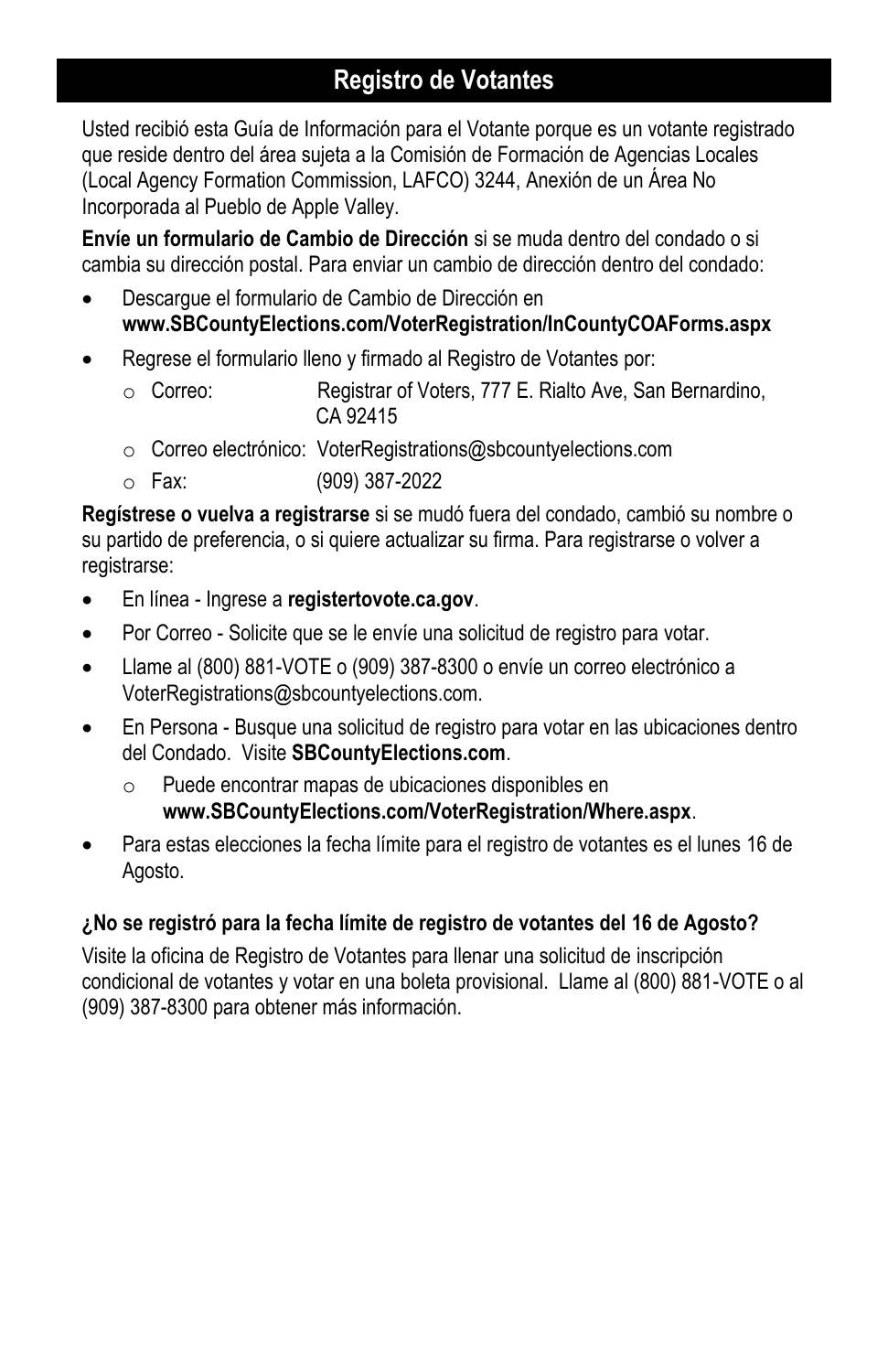## **Registro de Votantes**

Usted recibió esta Guía de Información para el Votante porque es un votante registrado que reside dentro del área sujeta a la Comisión de Formación de Agencias Locales (Local Agency Formation Commission, LAFCO) 3244, Anexión de un Área No Incorporada al Pueblo de Apple Valley.

**Envíe un formulario de Cambio de Dirección** si se muda dentro del condado o si cambia su dirección postal. Para enviar un cambio de dirección dentro del condado:

- Descargue el formulario de Cambio de Dirección en **www.SBCountyElections.com/VoterRegistration/InCountyCOAForms.aspx**
- Regrese el formulario lleno y firmado al Registro de Votantes por:
	- o Correo: Registrar of Voters, 777 E. Rialto Ave, San Bernardino, CA 92415
	- o Correo electrónico: VoterRegistrations@sbcountyelections.com
	- o Fax: (909) 387-2022

**Regístrese o vuelva a registrarse** si se mudó fuera del condado, cambió su nombre o su partido de preferencia, o si quiere actualizar su firma. Para registrarse o volver a registrarse:

- En línea Ingrese a **registertovote.ca.gov**.
- Por Correo Solicite que se le envíe una solicitud de registro para votar.
- Llame al (800) 881-VOTE o (909) 387-8300 o envíe un correo electrónico a VoterRegistrations@sbcountyelections.com.
- En Persona Busque una solicitud de registro para votar en las ubicaciones dentro del Condado. Visite **SBCountyElections.com**.
	- o Puede encontrar mapas de ubicaciones disponibles en **www.SBCountyElections.com/VoterRegistration/Where.aspx**.
- Para estas elecciones la fecha límite para el registro de votantes es el lunes 16 de Agosto.

### **¿No se registró para la fecha límite de registro de votantes del 16 de Agosto?**

Visite la oficina de Registro de Votantes para llenar una solicitud de inscripción condicional de votantes y votar en una boleta provisional. Llame al (800) 881-VOTE o al (909) 387-8300 para obtener más información.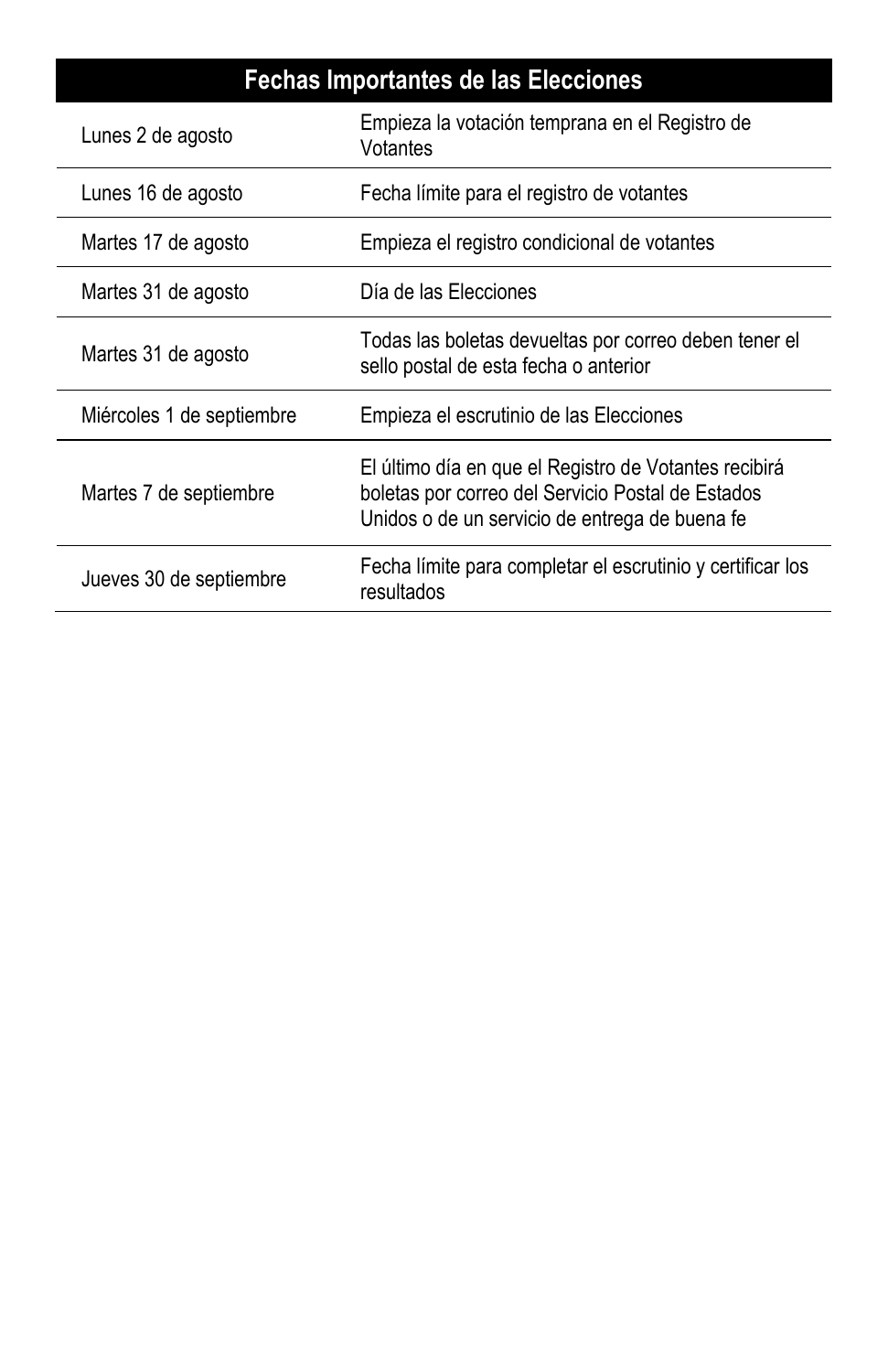# **Fechas Importantes de las Elecciones**

| Lunes 2 de agosto         | Empieza la votación temprana en el Registro de<br>Votantes                                                                                                   |
|---------------------------|--------------------------------------------------------------------------------------------------------------------------------------------------------------|
| Lunes 16 de agosto        | Fecha límite para el registro de votantes                                                                                                                    |
| Martes 17 de agosto       | Empieza el registro condicional de votantes                                                                                                                  |
| Martes 31 de agosto       | Día de las Elecciones                                                                                                                                        |
| Martes 31 de agosto       | Todas las boletas devueltas por correo deben tener el<br>sello postal de esta fecha o anterior                                                               |
| Miércoles 1 de septiembre | Empieza el escrutinio de las Elecciones                                                                                                                      |
| Martes 7 de septiembre    | El último día en que el Registro de Votantes recibirá<br>boletas por correo del Servicio Postal de Estados<br>Unidos o de un servicio de entrega de buena fe |
| Jueves 30 de septiembre   | Fecha límite para completar el escrutinio y certificar los<br>resultados                                                                                     |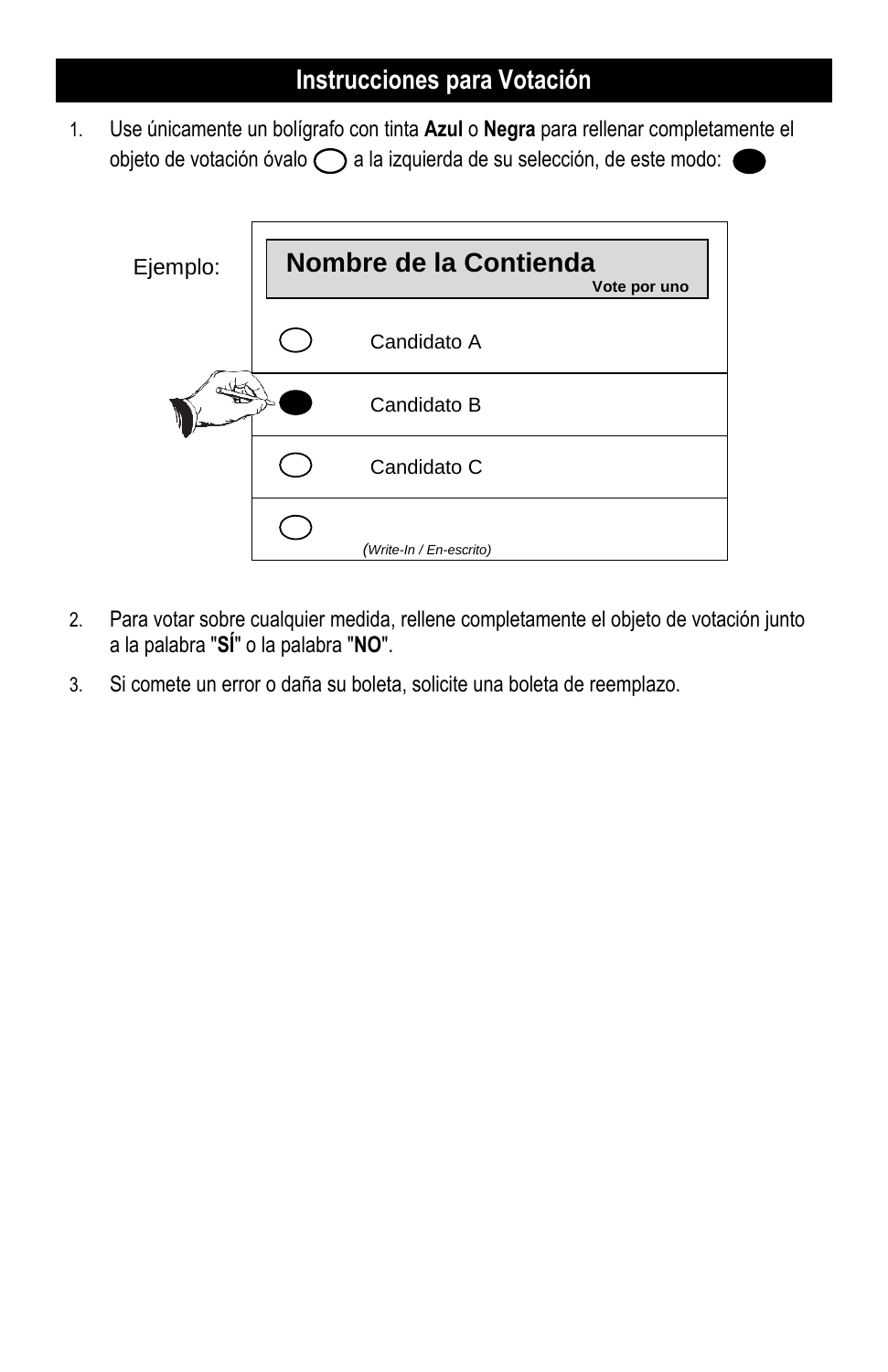### **Instrucciones para Votación**

1. Use únicamente un bolígrafo con tinta **Azul** o **Negra** para rellenar completamente el objeto de votación óvalo  $\bigcap$  a la izquierda de su selección, de este modo: «



- 2. Para votar sobre cualquier medida, rellene completamente el objeto de votación junto a la palabra "**SÍ**" o la palabra "**NO**".
- 3. Si comete un error o daña su boleta, solicite una boleta de reemplazo.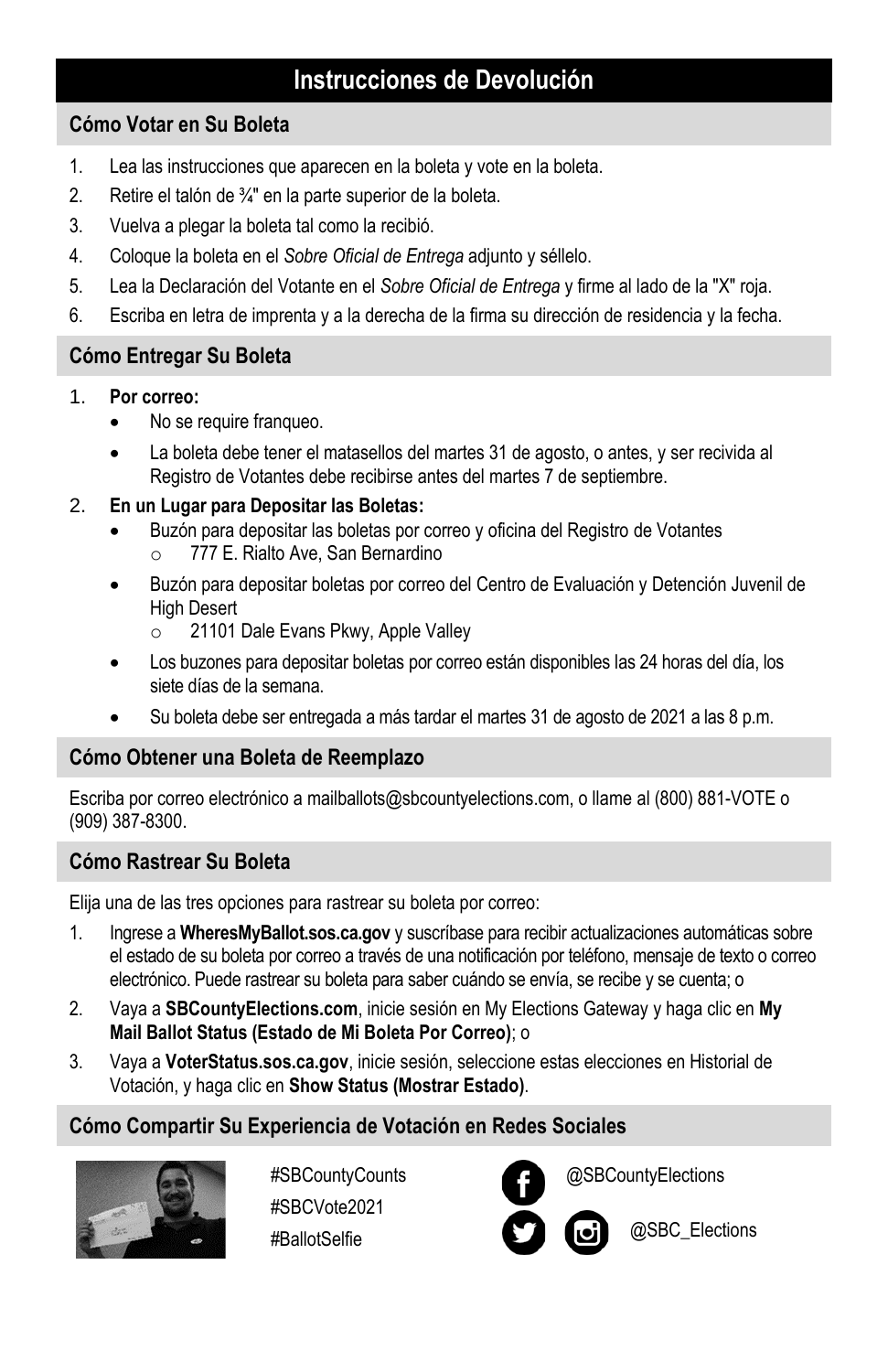### **Instrucciones de Devolución**

### **Cómo Votar en Su Boleta**

- 1. Lea las instrucciones que aparecen en la boleta y vote en la boleta.
- 2. Retire el talón de ¾" en la parte superior de la boleta.
- 3. Vuelva a plegar la boleta tal como la recibió.
- 4. Coloque la boleta en el *Sobre Oficial de Entrega* adjunto y séllelo.
- 5. Lea la Declaración del Votante en el *Sobre Oficial de Entrega* y firme al lado de la "X" roja.
- 6. Escriba en letra de imprenta y a la derecha de la firma su dirección de residencia y la fecha.

### **Cómo Entregar Su Boleta**

#### 1. **Por correo:**

- No se require franqueo.
- La boleta debe tener el matasellos del martes 31 de agosto, o antes, y ser recivida al Registro de Votantes debe recibirse antes del martes 7 de septiembre.

#### 2. **En un Lugar para Depositar las Boletas:**

- Buzón para depositar las boletas por correo y oficina del Registro de Votantes o 777 E. Rialto Ave, San Bernardino
- Buzón para depositar boletas por correo del Centro de Evaluación y Detención Juvenil de High Desert
	- o 21101 Dale Evans Pkwy, Apple Valley
- Los buzones para depositar boletas por correo están disponibles las 24 horas del día, los siete días de la semana.
- Su boleta debe ser entregada a más tardar el martes 31 de agosto de 2021 a las 8 p.m.

### **Cómo Obtener una Boleta de Reemplazo**

Escriba por correo electrónico a mailballots@sbcountyelections.com, o llame al (800) 881-VOTE o (909) 387-8300.

### **Cómo Rastrear Su Boleta**

Elija una de las tres opciones para rastrear su boleta por correo:

- 1. Ingrese a **WheresMyBallot.sos.ca.gov** y suscríbase para recibir actualizaciones automáticas sobre el estado de su boleta por correo a través de una notificación por teléfono, mensaje de texto o correo electrónico. Puede rastrear su boleta para saber cuándo se envía, se recibe y se cuenta; o
- 2. Vaya a **[SBCountyElections.com](http://www.sbcountyelections.com/)**, inicie sesión en My Elections Gateway y haga clic en **My Mail Ballot Status (Estado de Mi Boleta Por Correo)**; o
- 3. Vaya a **VoterStatus.sos.ca.gov**, inicie sesión, seleccione estas elecciones en Historial de Votación, y haga clic en **Show Status (Mostrar Estado)**.

### **Cómo Compartir Su Experiencia de Votación en Redes Sociales**



#SBCountyCounts #SBCVote2021 #BallotSelfie



@SBCountyElections

@SBC\_Elections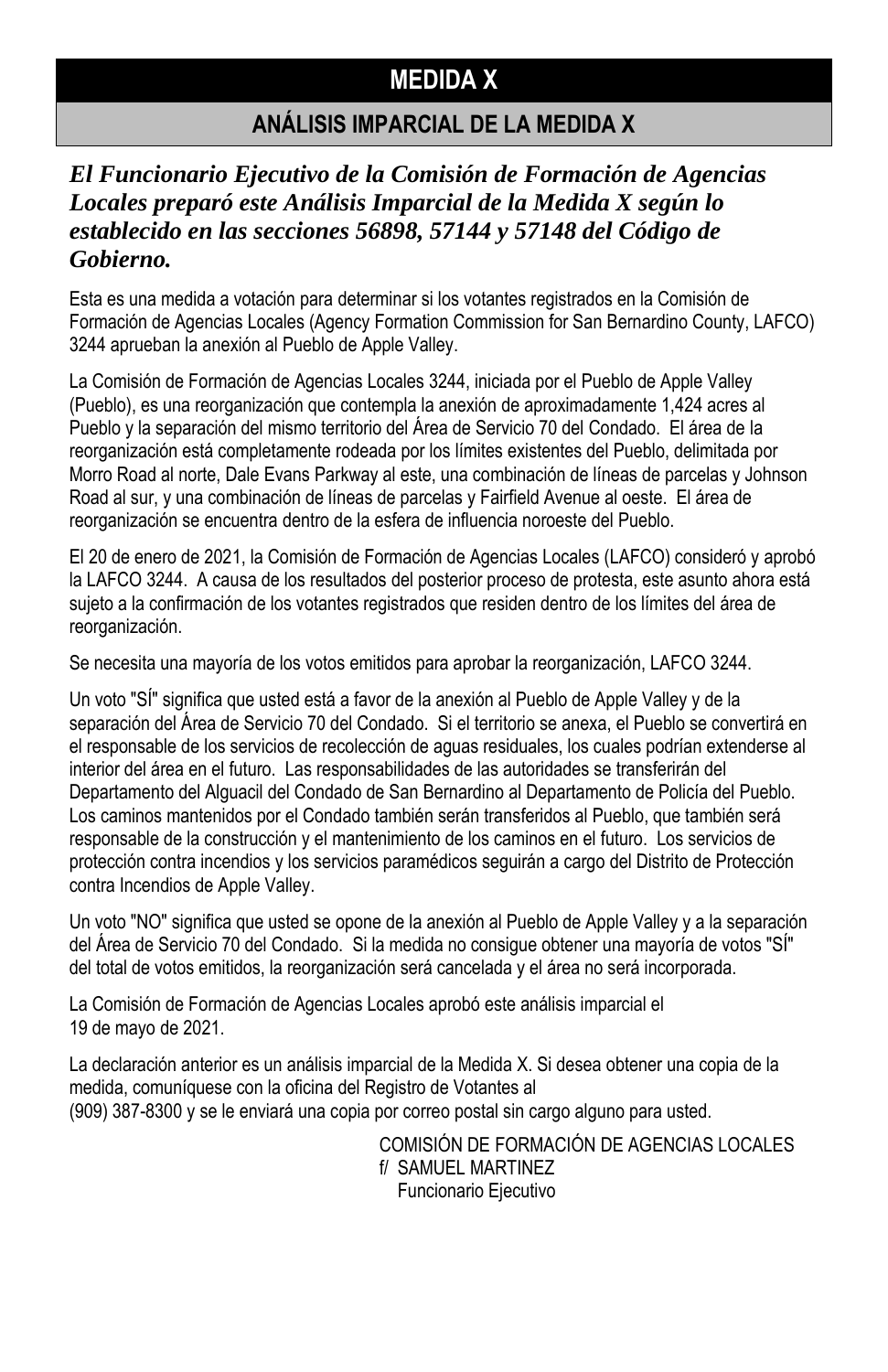### **MEDIDA X**

### **ANÁLISIS IMPARCIAL DE LA MEDIDA X**

### *El Funcionario Ejecutivo de la Comisión de Formación de Agencias Locales preparó este Análisis Imparcial de la Medida X según lo establecido en las secciones 56898, 57144 y 57148 del Código de Gobierno.*

Esta es una medida a votación para determinar si los votantes registrados en la Comisión de Formación de Agencias Locales (Agency Formation Commission for San Bernardino County, LAFCO) 3244 aprueban la anexión al Pueblo de Apple Valley.

La Comisión de Formación de Agencias Locales 3244, iniciada por el Pueblo de Apple Valley (Pueblo), es una reorganización que contempla la anexión de aproximadamente 1,424 acres al Pueblo y la separación del mismo territorio del Área de Servicio 70 del Condado. El área de la reorganización está completamente rodeada por los límites existentes del Pueblo, delimitada por Morro Road al norte, Dale Evans Parkway al este, una combinación de líneas de parcelas y Johnson Road al sur, y una combinación de líneas de parcelas y Fairfield Avenue al oeste. El área de reorganización se encuentra dentro de la esfera de influencia noroeste del Pueblo.

El 20 de enero de 2021, la Comisión de Formación de Agencias Locales (LAFCO) consideró y aprobó la LAFCO 3244. A causa de los resultados del posterior proceso de protesta, este asunto ahora está sujeto a la confirmación de los votantes registrados que residen dentro de los límites del área de reorganización.

Se necesita una mayoría de los votos emitidos para aprobar la reorganización, LAFCO 3244.

Un voto "SÍ" significa que usted está a favor de la anexión al Pueblo de Apple Valley y de la separación del Área de Servicio 70 del Condado. Si el territorio se anexa, el Pueblo se convertirá en el responsable de los servicios de recolección de aguas residuales, los cuales podrían extenderse al interior del área en el futuro. Las responsabilidades de las autoridades se transferirán del Departamento del Alguacil del Condado de San Bernardino al Departamento de Policía del Pueblo. Los caminos mantenidos por el Condado también serán transferidos al Pueblo, que también será responsable de la construcción y el mantenimiento de los caminos en el futuro. Los servicios de protección contra incendios y los servicios paramédicos seguirán a cargo del Distrito de Protección contra Incendios de Apple Valley.

Un voto "NO" significa que usted se opone de la anexión al Pueblo de Apple Valley y a la separación del Área de Servicio 70 del Condado. Si la medida no consigue obtener una mayoría de votos "SÍ" del total de votos emitidos, la reorganización será cancelada y el área no será incorporada.

La Comisión de Formación de Agencias Locales aprobó este análisis imparcial el 19 de mayo de 2021.

La declaración anterior es un análisis imparcial de la Medida X. Si desea obtener una copia de la medida, comuníquese con la oficina del Registro de Votantes al (909) 387-8300 y se le enviará una copia por correo postal sin cargo alguno para usted.

> COMISIÓN DE FORMACIÓN DE AGENCIAS LOCALES f/ SAMUEL MARTINEZ Funcionario Ejecutivo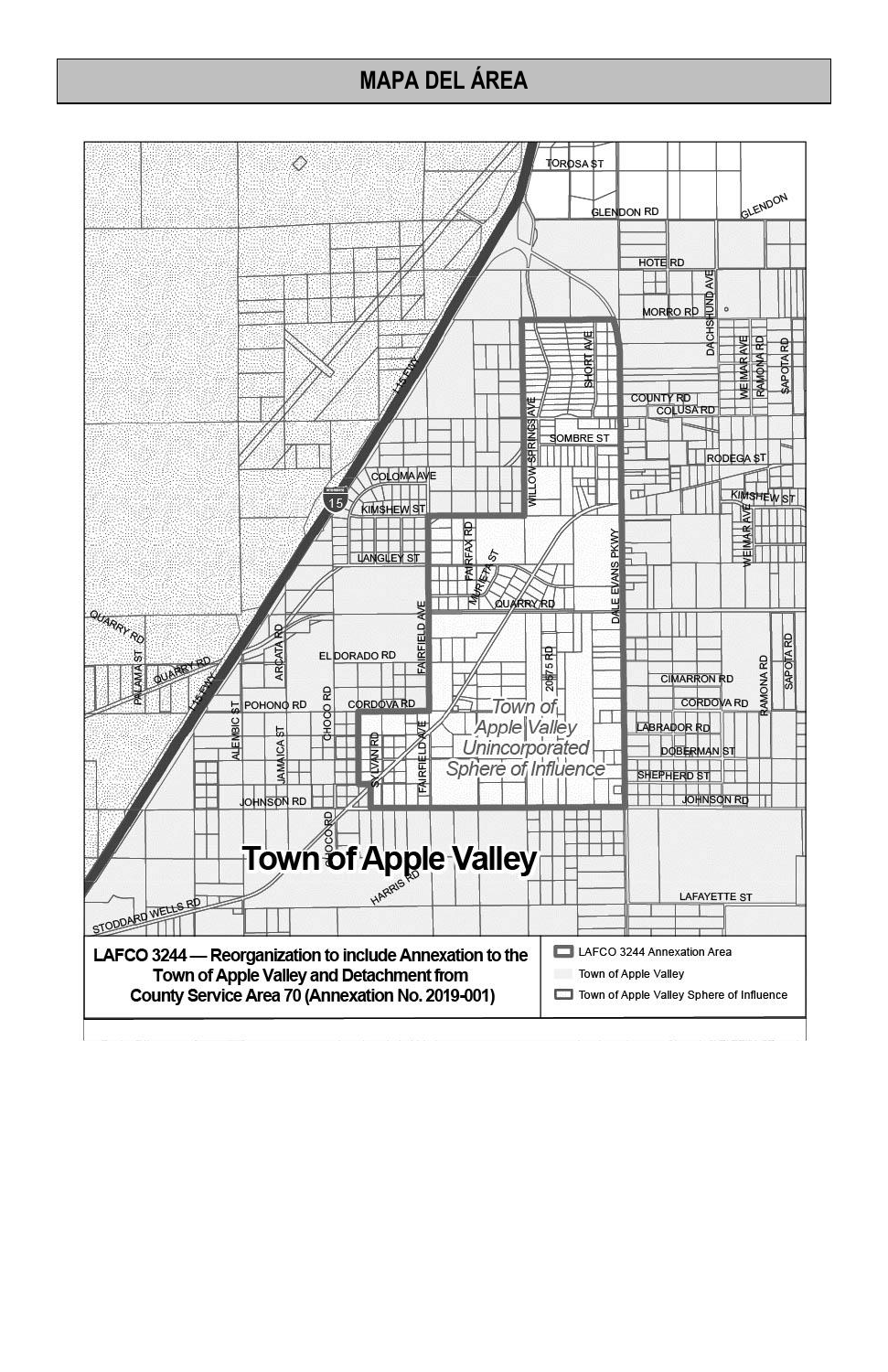### **MAPA DEL ÁREA**